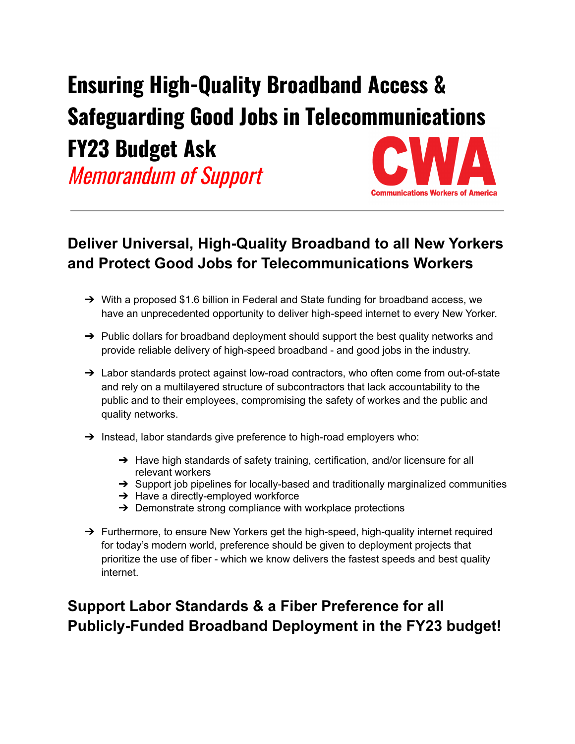## **Ensuring High-Quality Broadband Access & Safeguarding Good Jobs in Telecommunications FY23 Budget Ask**

Memorandum of Support

## **Deliver Universal, High-Quality Broadband to all New Yorkers and Protect Good Jobs for Telecommunications Workers**

**Communications Workers of America** 

- ➔ With a proposed \$1.6 billion in Federal and State funding for broadband access, we have an unprecedented opportunity to deliver high-speed internet to every New Yorker.
- $\rightarrow$  Public dollars for broadband deployment should support the best quality networks and provide reliable delivery of high-speed broadband - and good jobs in the industry.
- → Labor standards protect against low-road contractors, who often come from out-of-state and rely on a multilayered structure of subcontractors that lack accountability to the public and to their employees, compromising the safety of workes and the public and quality networks.
- → Instead, labor standards give preference to high-road employers who:
	- → Have high standards of safety training, certification, and/or licensure for all relevant workers
	- $\rightarrow$  Support job pipelines for locally-based and traditionally marginalized communities
	- **→** Have a directly-employed workforce
	- $\rightarrow$  Demonstrate strong compliance with workplace protections
- → Furthermore, to ensure New Yorkers get the high-speed, high-quality internet required for today's modern world, preference should be given to deployment projects that prioritize the use of fiber - which we know delivers the fastest speeds and best quality internet.

## **Support Labor Standards & a Fiber Preference for all Publicly-Funded Broadband Deployment in the FY23 budget!**